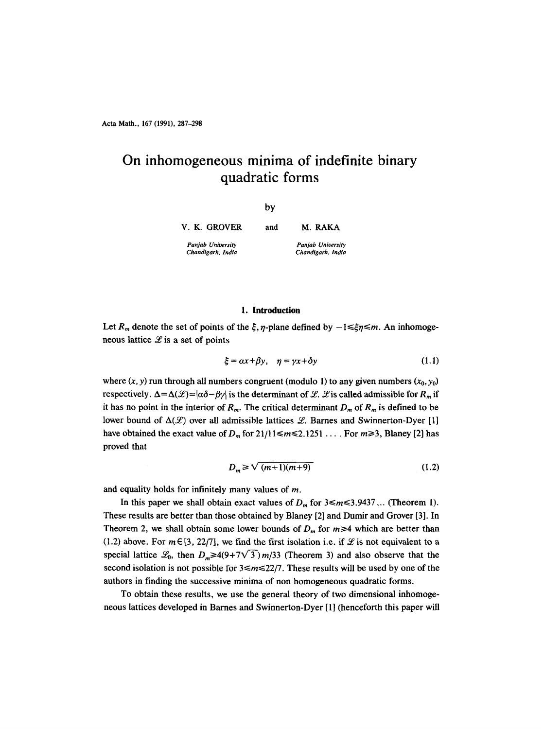Acta Math., 167 (1991), 287-298

# **On inhomogeneous minima of indefinite binary quadratic forms**

by

**V. K. GROVER**  *Panjab Unioersity Chandigarh, India*  and M. RAKA *Panjab Unioersity Chandigarh, India* 

## 1. Introduction

Let  $R_m$  denote the set of points of the  $\xi$ ,  $\eta$ -plane defined by  $-1 \leq \xi \eta \leq m$ . An inhomogeneous lattice  $\mathscr L$  is a set of points

$$
\xi = \alpha x + \beta y, \quad \eta = \gamma x + \delta y \tag{1.1}
$$

where  $(x, y)$  run through all numbers congruent (modulo 1) to any given numbers  $(x_0, y_0)$ respectively.  $\Delta = \Delta(\mathcal{L}) = |\alpha \delta - \beta \gamma|$  is the determinant of  $\mathcal{L}$ .  $\mathcal{L}$  is called admissible for  $R_m$  if it has no point in the interior of  $R_m$ . The critical determinant  $D_m$  of  $R_m$  is defined to be lower bound of  $\Delta(\mathcal{L})$  over all admissible lattices  $\mathcal{L}$ . Barnes and Swinnerton-Dyer [1] have obtained the exact value of  $D_m$  for  $21/11 \le m \le 2.1251$  .... For  $m \ge 3$ , Blaney [2] has proved that

$$
D_m \geqslant \sqrt{(m+1)(m+9)}\tag{1.2}
$$

and equality holds for infinitely many values of m.

In this paper we shall obtain exact values of  $D_m$  for  $3 \le m \le 3.9437...$  (Theorem 1). These results are better than those obtained by Blaney [2] and Dumir and Grover [3]. In Theorem 2, we shall obtain some lower bounds of  $D_m$  for  $m \ge 4$  which are better than (1.2) above. For  $m \in [3, 22/7]$ , we find the first isolation i.e. if  $\mathscr L$  is not equivalent to a special lattice  $\mathcal{L}_0$ , then  $D_m \ge 4(9+7\sqrt{3})m/33$  (Theorem 3) and also observe that the second isolation is not possible for  $3 \le m \le 22/7$ . These results will be used by one of the authors in finding the successive minima of non homogeneous quadratic forms.

To obtain these results, we use the general theory of two dimensional inhomogeneous lattices developed in Barnes and Swinnerton-Dyer [1] (henceforth this paper will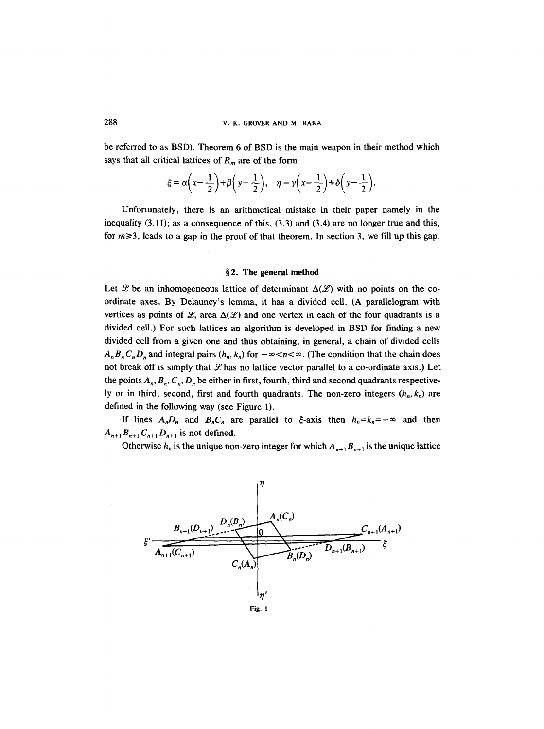be referred to as BSD). Theorem 6 of BSD is the main weapon in their method which says that all critical lattices of  $R<sub>m</sub>$  are of the form

$$
\xi = \alpha \left(x - \frac{1}{2}\right) + \beta \left(y - \frac{1}{2}\right), \quad \eta = \gamma \left(x - \frac{1}{2}\right) + \delta \left(y - \frac{1}{2}\right).
$$

Unfortunately, there is an arithmetical mistake in their paper namely in the inequality  $(3.11)$ ; as a consequence of this,  $(3.3)$  and  $(3.4)$  are no longer true and this, for  $m\geq 3$ , leads to a gap in the proof of that theorem. In section 3, we fill up this gap.

#### §2. The general method

Let Let the an inhomogeneous lattice of determinant  $\Delta(\mathcal{L})$  with no points on the coordinate axes. By Delauney's lemma, it has a divided cell. (A parallelogram with vertices as points of  $\mathcal{L}$ , area  $\Delta(\mathcal{L})$  and one vertex in each of the four quadrants is a divided cell.) For such lattices an algorithm is developed in BSD for finding a new divided cell from a given one and thus obtaining, in general, a chain of divided cells  $A_n B_n C_n D_n$  and integral pairs  $(h_n, k_n)$  for  $-\infty < n < \infty$ . (The condition that the chain does not break off is simply that  $\mathcal L$  has no lattice vector parallel to a co-ordinate axis.) Let the points  $A_n, B_n, C_n, D_n$  be either in first, fourth, third and second quadrants respectively or in third, second, first and fourth quadrants. The non-zero integers  $(h_n, k_n)$  are defined in the following way (see Figure 1).

If lines  $A_nD_n$  and  $B_nC_n$  are parallel to  $\xi$ -axis then  $h_n=k_n=-\infty$  and then  $A_{n+1}B_{n+1}C_{n+1}D_{n+1}$  is not defined.

Otherwise  $h_n$  is the unique non-zero integer for which  $A_{n+1} B_{n+1}$  is the unique lattice

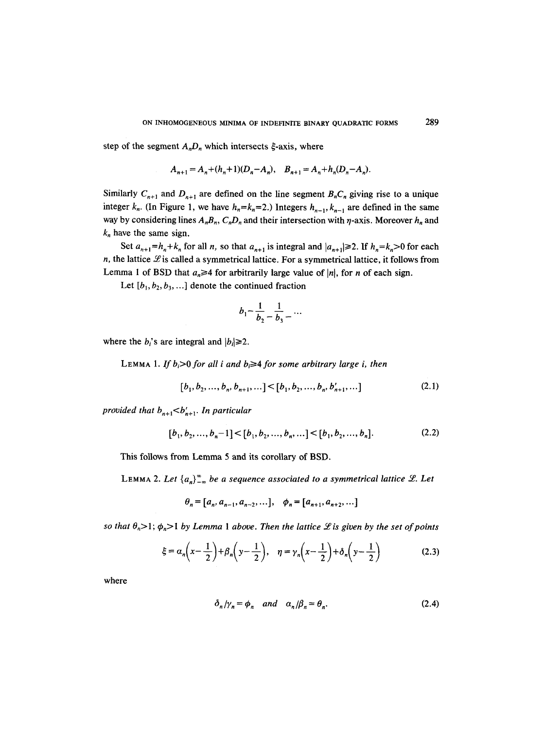step of the segment  $A_nD_n$  which intersects  $\xi$ -axis, where

$$
A_{n+1} = A_n + (h_n + 1)(D_n - A_n), \quad B_{n+1} = A_n + h_n(D_n - A_n).
$$

Similarly  $C_{n+1}$  and  $D_{n+1}$  are defined on the line segment  $B_nC_n$  giving rise to a unique integer  $k_n$ . (In Figure 1, we have  $h_n=k_n=2$ .) Integers  $h_{n-1}, k_{n-1}$  are defined in the same way by considering lines  $A_nB_n$ ,  $C_nD_n$  and their intersection with  $\eta$ -axis. Moreover  $h_n$  and  $k_n$  have the same sign.

Set  $a_{n+1} = h_n + k_n$  for all *n*, so that  $a_{n+1}$  is integral and  $|a_{n+1}| \ge 2$ . If  $h_n = k_n > 0$  for each n, the lattice  $\mathscr L$  is called a symmetrical lattice. For a symmetrical lattice, it follows from Lemma 1 of BSD that  $a_n \geq 4$  for arbitrarily large value of |n|, for n of each sign.

Let  $[b_1, b_2, b_3, \ldots]$  denote the continued fraction

$$
b_1 - \frac{1}{b_2} - \frac{1}{b_3} - \cdots
$$

where the *b<sub>i</sub>*'s are integral and  $|b_i| \ge 2$ .

LEMMA 1. If  $b_i>0$  for all i and  $b_i\geq 4$  for some arbitrary large i, then

$$
[b_1, b_2, \dots, b_n, b_{n+1}, \dots] < [b_1, b_2, \dots, b_n, b'_{n+1}, \dots] \tag{2.1}
$$

*provided that*  $b_{n+1} < b'_{n+1}$ . In particular

$$
[b_1, b_2, \dots, b_n - 1] < [b_1, b_2, \dots, b_n, \dots] < [b_1, b_2, \dots, b_n]. \tag{2.2}
$$

This follows from Lemma 5 and its corollary of BSD.

LEMMA 2. Let  ${a_n}_{-\infty}^{\infty}$  be a sequence associated to a symmetrical lattice L. Let

$$
\theta_n = [a_n, a_{n-1}, a_{n-2}, \dots], \quad \phi_n = [a_{n+1}, a_{n+2}, \dots]
$$

*so that*  $\theta_n > 1$ ;  $\phi_n > 1$  *by Lemma 1 above. Then the lattice L is given by the set of points* 

$$
\xi = \alpha_n \left( x - \frac{1}{2} \right) + \beta_n \left( y - \frac{1}{2} \right), \quad \eta = \gamma_n \left( x - \frac{1}{2} \right) + \delta_n \left( y - \frac{1}{2} \right) \tag{2.3}
$$

where

$$
\delta_n/\gamma_n = \phi_n \quad \text{and} \quad \alpha_n/\beta_n = \theta_n. \tag{2.4}
$$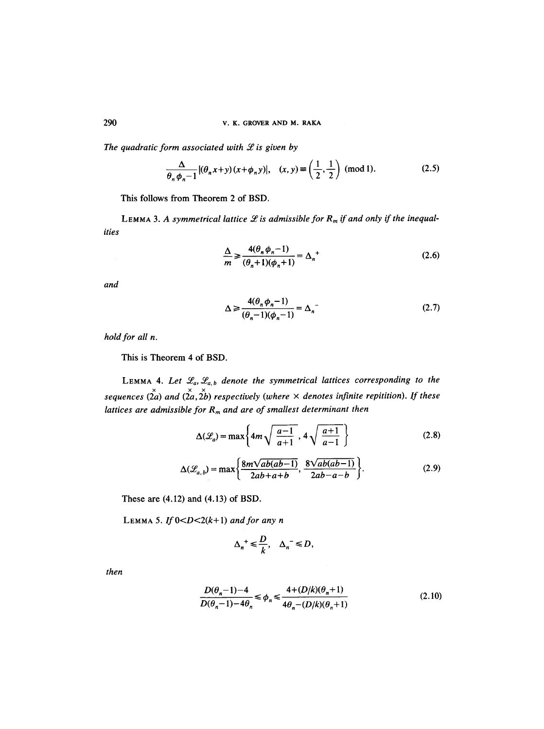The quadratic form associated with  $\mathcal L$  is given by

$$
\frac{\Delta}{\theta_n \phi_n - 1} |(\theta_n x + y)(x + \phi_n y)|, \quad (x, y) \equiv \left(\frac{1}{2}, \frac{1}{2}\right) \text{ (mod 1).}
$$
 (2.5)

This follows from Theorem 2 of BSD.

LEMMA 3. A symmetrical lattice  $L$  is admissible for  $R_m$  if and only if the inequal*ities* 

$$
\frac{\Delta}{m} \ge \frac{4(\theta_n \phi_n - 1)}{(\theta_n + 1)(\phi_n + 1)} = \Delta_n^+
$$
\n(2.6)

*and* 

$$
\Delta \ge \frac{4(\theta_n \phi_n - 1)}{(\theta_n - 1)(\phi_n - 1)} = \Delta_n
$$
\n(2.7)

*hold for all n.* 

This is Theorem 4 of BSD.

LEMMA 4. Let  $\mathcal{L}_a, \mathcal{L}_{a,b}$  denote the symmetrical lattices corresponding to the *sequences*  $(\sum_{i=1}^{x} a_i, \sum_{i=1}^{x} b_i)$  *respectively (where*  $\times$  *denotes infinite repitition). If these lattices are admissible for R<sub>m</sub> and are of smallest determinant then* 

$$
\Delta(\mathcal{L}_a) = \max\left\{ 4m\sqrt{\frac{a-1}{a+1}}, 4\sqrt{\frac{a+1}{a-1}} \right\}
$$
 (2.8)

$$
\Delta(\mathcal{L}_{a,b}) = \max\left\{\frac{8m\sqrt{ab(ab-1)}}{2ab+a+b}, \frac{8\sqrt{ab(ab-1)}}{2ab-a-b}\right\}.
$$
\n(2.9)

These are (4.12) and (4.13) of BSD.

LEMMA 5. If  $0 < D < 2(k+1)$  and for any n

$$
\Delta_n^+\leqslant \frac{D}{k},\quad \Delta_n^-\leqslant D,
$$

*then* 

$$
\frac{D(\theta_n - 1) - 4}{D(\theta_n - 1) - 4\theta_n} \le \phi_n \le \frac{4 + (D/k)(\theta_n + 1)}{4\theta_n - (D/k)(\theta_n + 1)}\tag{2.10}
$$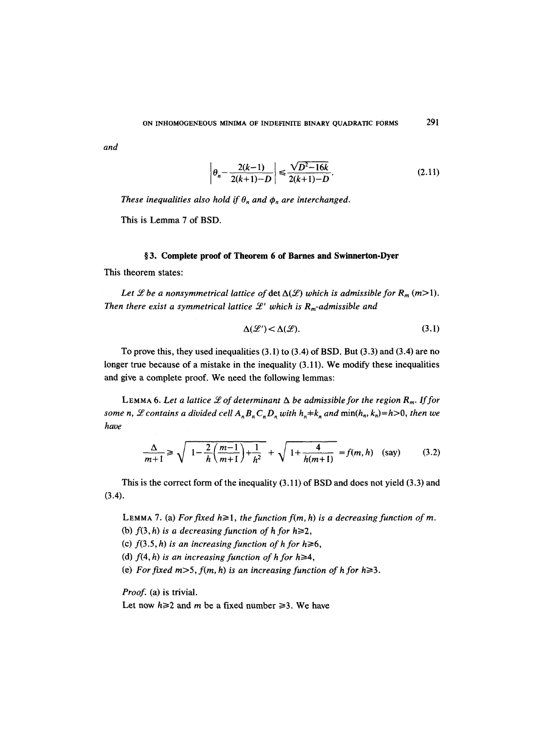*and* 

$$
\left| \theta_n - \frac{2(k-1)}{2(k+1)-D} \right| \le \frac{\sqrt{D^2 - 16k}}{2(k+1)-D}.
$$
 (2.11)

*These inequalities also hold if*  $\theta_n$  *and*  $\phi_n$  *are interchanged.* 

This is Lemma 7 of BSD.

## **w 3. Complete proof of Theorem 6 of Barnes and Swinnerton-Dyer**

This theorem states:

Let *L* be a nonsymmetrical lattice of  $\det \Delta(\mathcal{L})$  which is admissible for  $R_m$  (m>1). Then there exist a symmetrical lattice  $\mathcal{L}'$  which is  $R_m$ -admissible and

$$
\Delta(\mathcal{L}') < \Delta(\mathcal{L}).\tag{3.1}
$$

To prove this, they used inequalities (3.1) to (3.4) of BSD. But (3.3) and (3.4) are no longer true because of a mistake in the inequality (3.11). We modify these inequalities and give a complete proof. We need the following lemmas:

LEMMA 6. Let a lattice  $\mathcal L$  of determinant  $\Delta$  be admissible for the region  $R_m$ . If for *some n, L* contains a divided cell  $A_n B_n C_n D_n$  with  $h_n \neq k_n$  and  $\min(h_n, k_n) = h > 0$ , then we *have* 

$$
\frac{\Delta}{m+1} \ge \sqrt{1 - \frac{2}{h} \left( \frac{m-1}{m+1} \right) + \frac{1}{h^2}} + \sqrt{1 + \frac{4}{h(m+1)}} = f(m, h) \quad \text{(say)} \tag{3.2}
$$

This is the correct form of the inequality (3.11) of BSD and does not yield (3.3) and  $(3.4).$ 

LEMMA 7. (a) For fixed  $h \ge 1$ , the function  $f(m, h)$  is a decreasing function of m.

(b)  $f(3, h)$  is a decreasing function of h for  $h \ge 2$ ,

(c)  $f(3.5, h)$  is an increasing function of h for  $h \ge 6$ ,

- (d)  $f(4, h)$  is an increasing function of h for  $h \geq 4$ ,
- (e) For fixed  $m>5$ ,  $f(m, h)$  is an increasing function of h for  $h \geq 3$ .

*Proof.* (a) is trivial.

Let now  $h \ge 2$  and m be a fixed number  $\ge 3$ . We have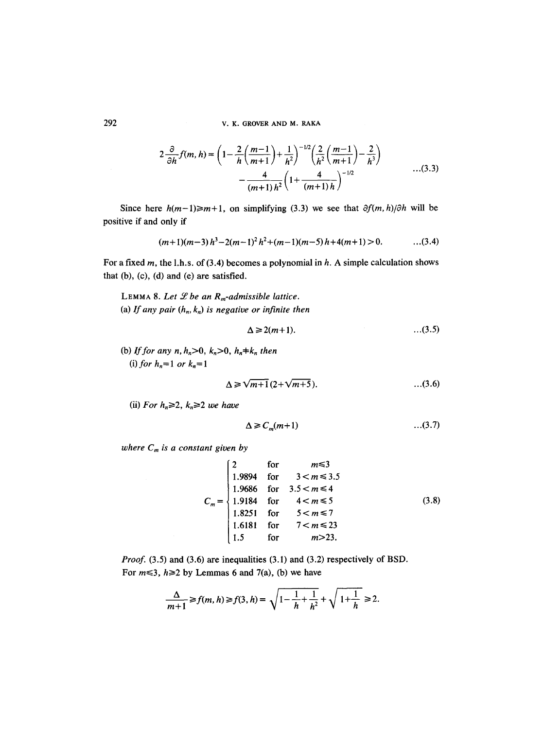292 V. K. GROVER AND M. RAKA

$$
2\frac{\partial}{\partial h}f(m, h) = \left(1 - \frac{2}{h}\left(\frac{m-1}{m+1}\right) + \frac{1}{h^2}\right)^{-1/2} \left(\frac{2}{h^2}\left(\frac{m-1}{m+1}\right) - \frac{2}{h^3}\right) - \frac{4}{(m+1)h^2}\left(1 + \frac{4}{(m+1)h}\right)^{-1/2} \tag{3.3}
$$

Since here  $h(m-1) \ge m+1$ , on simplifying (3.3) we see that  $\partial f(m,h)/\partial h$  will be positive if and only if

$$
(m+1)(m-3) h3-2(m-1)2 h2+(m-1)(m-5) h+4(m+1) > 0.
$$
...(3.4)

For a fixed m, the l.h.s. of (3.4) becomes a polynomial in  $h$ . A simple calculation shows that (b), (c), (d) and (e) are satisfied.

LEMMA 8. Let  $\mathcal L$  be an  $R_m$ -admissible lattice. (a) If any pair  $(h_n, k_n)$  is negative or infinite then

$$
\Delta \geq 2(m+1). \tag{3.5}
$$

(b) *If for any n, h<sub>n</sub>*>0,  $k_n$ >0,  $h_n \neq k_n$  then (i) *for*  $h_n = 1$  *or*  $k_n = 1$ 

$$
\Delta \geq \sqrt{m+1} \left( 2 + \sqrt{m+5} \right).
$$
 (3.6)

(ii) For  $h_n \geq 2$ ,  $k_n \geq 2$  we have

$$
\Delta \ge C_m(m+1) \tag{3.7}
$$

*where*  $C_m$  *is a constant given by* 

$$
C_m = \begin{cases} 2 & \text{for} & m \le 3 \\ 1.9894 & \text{for} & 3 < m \le 3.5 \\ 1.9686 & \text{for} & 3.5 < m \le 4 \\ 1.9184 & \text{for} & 4 < m \le 5 \\ 1.8251 & \text{for} & 5 < m \le 7 \\ 1.6181 & \text{for} & 7 < m \le 23 \\ 1.5 & \text{for} & m > 23. \end{cases} \tag{3.8}
$$

*Proof.* (3.5) and (3.6) are inequalities (3.1) and (3.2) respectively of BSD. For  $m \leq 3$ ,  $h \geq 2$  by Lemmas 6 and 7(a), (b) we have

$$
\frac{\Delta}{m+1} \ge f(m, h) \ge f(3, h) = \sqrt{1 - \frac{1}{h} + \frac{1}{h^2}} + \sqrt{1 + \frac{1}{h}} \ge 2.
$$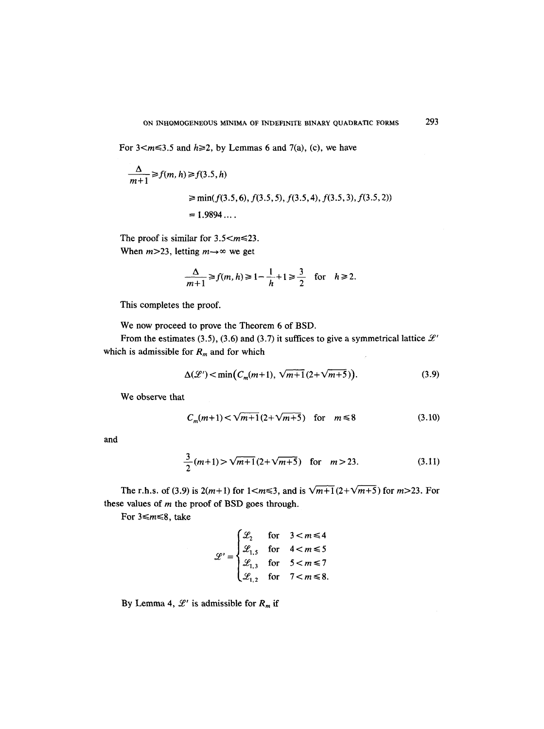For  $3 < m \le 3.5$  and  $h \ge 2$ , by Lemmas 6 and 7(a), (c), we have

$$
\frac{\Delta}{m+1} \ge f(m, h) \ge f(3.5, h)
$$
  
\n
$$
\ge \min(f(3.5, 6), f(3.5, 5), f(3.5, 4), f(3.5, 3), f(3.5, 2))
$$
  
\n= 1.9894....

The proof is similar for  $3.5 < m \le 23$ . When  $m>23$ , letting  $m \rightarrow \infty$  we get

$$
\frac{\Delta}{m+1} \ge f(m, h) \ge 1 - \frac{1}{h} + 1 \ge \frac{3}{2} \quad \text{for} \quad h \ge 2.
$$

This completes the proof.

We now proceed to prove the Theorem 6 of BSD.

From the estimates (3.5), (3.6) and (3.7) it suffices to give a symmetrical lattice  $\mathcal{L}'$ which is admissible for  $R_m$  and for which

$$
\Delta(\mathcal{L}') < \min\left(C_m(m+1), \sqrt{m+1}(2+\sqrt{m+5})\right). \tag{3.9}
$$

We observe that

$$
C_m(m+1) < \sqrt{m+1}(2+\sqrt{m+5}) \quad \text{for} \quad m \le 8 \tag{3.10}
$$

and

$$
\frac{3}{2}(m+1) > \sqrt{m+1}(2+\sqrt{m+5}) \quad \text{for} \quad m > 23. \tag{3.11}
$$

The r.h.s. of (3.9) is  $2(m+1)$  for  $1 < m \le 3$ , and is  $\sqrt{m+1} (2+\sqrt{m+5})$  for  $m > 23$ . For these values of  $m$  the proof of BSD goes through.

For  $3 \le m \le 8$ , take

$$
\mathcal{L}' = \begin{cases} \mathcal{L}_2 & \text{for} \quad 3 < m \le 4 \\ \mathcal{L}_{1,5} & \text{for} \quad 4 < m \le 5 \\ \mathcal{L}_{1,3} & \text{for} \quad 5 < m \le 7 \\ \mathcal{L}_{1,2} & \text{for} \quad 7 < m \le 8. \end{cases}
$$

By Lemma 4,  $\mathcal{L}'$  is admissible for  $R_m$  if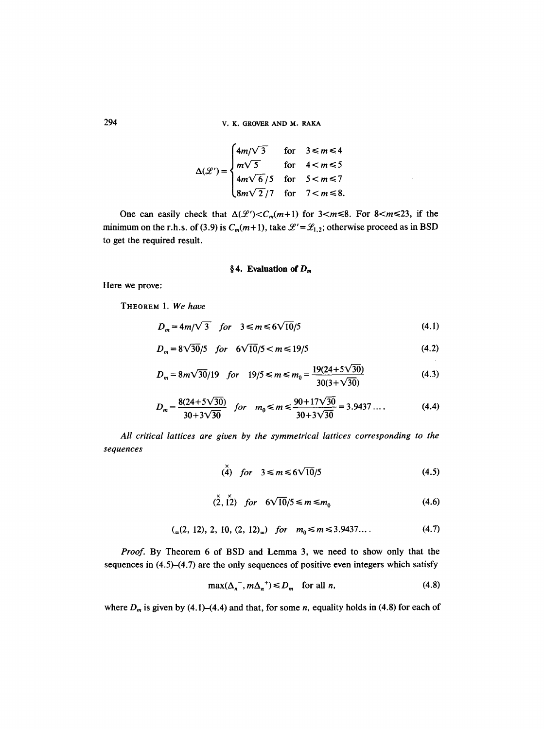294 V. K. GROVER AND M. RAKA

$$
\Delta(\mathcal{L}') = \begin{cases} 4m/\sqrt{3} & \text{for} \quad 3 \le m \le 4 \\ m\sqrt{5} & \text{for} \quad 4 < m \le 5 \\ 4m\sqrt{6}/5 & \text{for} \quad 5 < m \le 7 \\ 8m\sqrt{2}/7 & \text{for} \quad 7 < m \le 8. \end{cases}
$$

One can easily check that  $\Delta(\mathcal{L}') < C_m(m+1)$  for  $3 < m \le 8$ . For  $8 < m \le 23$ , if the minimum on the r.h.s. of (3.9) is  $C_m(m+1)$ , take  $\mathcal{L}' = \mathcal{L}_{1,2}$ ; otherwise proceed as in BSD to get the required result.

## §4. Evaluation of  $D_m$

Here we prove:

THEOREM 1. *We have* 

$$
D_m = 4m/\sqrt{3} \quad \text{for} \quad 3 \le m \le 6\sqrt{10}/5 \tag{4.1}
$$

$$
D_m = 8\sqrt{30}/5 \quad \text{for} \quad 6\sqrt{10}/5 < m \le 19/5 \tag{4.2}
$$

$$
D_m = 8m\sqrt{30}/19 \quad \text{for} \quad 19/5 \le m \le m_0 = \frac{19(24+5\sqrt{30})}{30(3+\sqrt{30})} \tag{4.3}
$$

$$
D_m = \frac{8(24 + 5\sqrt{30})}{30 + 3\sqrt{30}} \quad \text{for} \quad m_0 \le m \le \frac{90 + 17\sqrt{30}}{30 + 3\sqrt{30}} = 3.9437 \dots \tag{4.4}
$$

*All critical lattices are given by the symmetrical lattices corresponding to the sequences* 

$$
\stackrel{\times}{(4)} \quad \text{for} \quad 3 \leq m \leq 6\sqrt{10}/5 \tag{4.5}
$$

 $\sim 10^7$ 

$$
\stackrel{\times}{(2,12)} \quad \text{for} \quad 6\sqrt{10}/5 \le m \le m_0 \tag{4.6}
$$

$$
(_{\infty}(2, 12), 2, 10, (2, 12)_{\infty}) \quad \text{for} \quad m_0 \leq m \leq 3.9437... \tag{4.7}
$$

*Proof.* By Theorem 6 of BSD and Lemma 3, we need to show only that the sequences in (4.5)-(4.7) are the only sequences of positive even integers which satisfy

$$
\max(\Delta_n^-, m\Delta_n^+) \le D_m \quad \text{for all } n,\tag{4.8}
$$

where  $D_m$  is given by (4.1)–(4.4) and that, for some *n*, equality holds in (4.8) for each of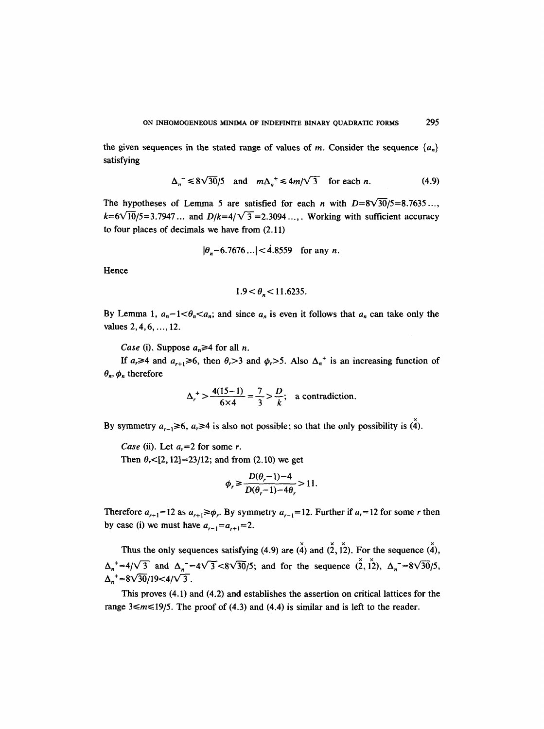the given sequences in the stated range of values of m. Consider the sequence  $\{a_n\}$ satisfying

$$
\Delta_n^-\leq 8\sqrt{30}/5 \quad \text{and} \quad m\Delta_n^+\leq 4m/\sqrt{3} \quad \text{for each } n. \tag{4.9}
$$

The hypotheses of Lemma 5 are satisfied for each *n* with  $D=8\sqrt{30}/5=8.7635...$  $k=6\sqrt{10}/5=3.7947...$  and  $D/k=4/\sqrt{3}=2.3094...,$  Working with sufficient accuracy to four places of decimals we have from (2.11)

$$
|\theta_n - 6.7676...| < 4.8559
$$
 for any *n*.

Hence

$$
1.9 < \theta_n < 11.6235.
$$

By Lemma 1,  $a_n-1 < \theta_n < a_n$ ; and since  $a_n$  is even it follows that  $a_n$  can take only the values 2, 4, 6, ..., 12.

*Case* (i). Suppose  $a_n \geq 4$  for all *n*.

If  $a_r \ge 4$  and  $a_{r+1} \ge 6$ , then  $\theta_r > 3$  and  $\phi_r > 5$ . Also  $\Delta_n^+$  is an increasing function of  $\theta_n$ ,  $\phi_n$  therefore

$$
\Delta_r^+ > \frac{4(15-1)}{6 \times 4} = \frac{7}{3} > \frac{D}{k};
$$
 a contradiction.

By symmetry  $a_{r-1} \ge 6$ ,  $a_r \ge 4$  is also not possible; so that the only possibility is  $(\hat{4})$ .

*Case* (ii). Let  $a_r = 2$  for some r.

Then  $\theta$ <sub>7</sub> < [2, 12] = 23/12; and from (2.10) we get

$$
\phi_r \geq \frac{D(\theta_r - 1) - 4}{D(\theta_r - 1) - 4\theta_r} > 11.
$$

Therefore  $a_{r+1}= 12$  as  $a_{r+1} \ge \phi_r$ . By symmetry  $a_{r-1}= 12$ . Further if  $a_r= 12$  for some r then by case (i) we must have  $a_{r-1} = a_{r+1} = 2$ .

Thus the only sequences satisfying (4.9) are  $\check{A}$ ) and  $\check{2}$ ,  $\check{1}$ ). For the sequence  $\check{4}$ ),  $\Delta_n^+ = 4/\sqrt{3}$  and  $\Delta_n^- = 4\sqrt{3} < 8\sqrt{30}/5$ ; and for the sequence  $(\check{2}, \check{12})$ ,  $\Delta_n^- = 8\sqrt{30}/5$ ,  $\Delta_n^+ = 8\sqrt{30}/19 < 4/\sqrt{3}$ .

This proves (4.1) and (4.2) and establishes the assertion on critical lattices for the range  $3 \le m \le 19/5$ . The proof of (4.3) and (4.4) is similar and is left to the reader.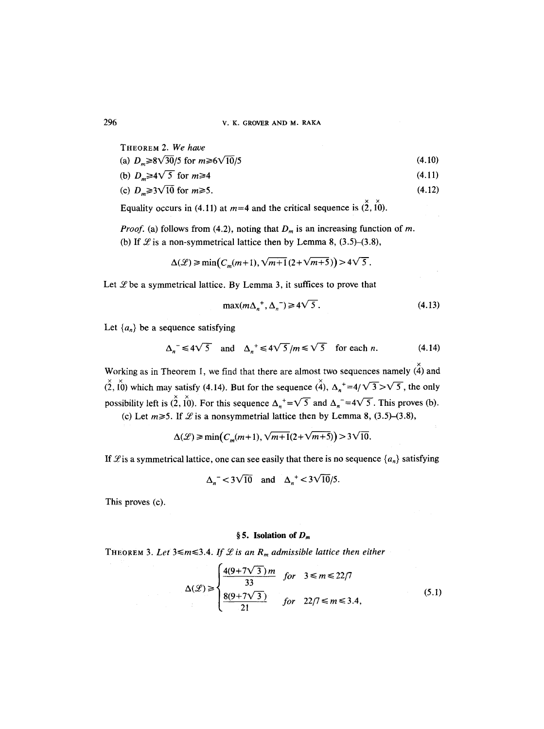## 296 V. K. GROVER AND M. RAKA

| THEOREM 2. W <i>e have</i>                          |        |
|-----------------------------------------------------|--------|
| (a) $D_m \ge 8\sqrt{30}/5$ for $m \ge 6\sqrt{10}/5$ | (4.10) |
| (b) $D_m \geq 4\sqrt{5}$ for $m \geq 4$             | (4.11) |

(c) 
$$
D_m \ge 3\sqrt{10} \text{ for } m \ge 5. \tag{4.12}
$$

Equality occurs in (4.11) at  $m=4$  and the critical sequence is  $(\check{2}, \check{10})$ .

*Proof.* (a) follows from (4.2), noting that  $D_m$  is an increasing function of m. (b) If  $\mathcal{L}$  is a non-symmetrical lattice then by Lemma 8, (3.5)-(3.8),

$$
\Delta(\mathcal{L}) \ge \min\bigl(C_m(m+1), \sqrt{m+1}(2+\sqrt{m+5})\bigr) > 4\sqrt{5}.
$$

Let  $\mathscr L$  be a symmetrical lattice. By Lemma 3, it suffices to prove that

$$
\max(m\Delta_n^+, \Delta_n^-) \ge 4\sqrt{5} \,. \tag{4.13}
$$

Let  $\{a_n\}$  be a sequence satisfying

$$
\Delta_n^- \le 4\sqrt{5} \quad \text{and} \quad \Delta_n^+ \le 4\sqrt{5}/m \le \sqrt{5} \quad \text{for each } n. \tag{4.14}
$$

Working as in Theorem 1, we find that there are almost two sequences namely  $(\hat{4})$  and  $(\check{2}, \check{10})$  which may satisfy (4.14). But for the sequence  $(\check{4})$ ,  $\Delta_n^+ = 4/\sqrt{3} > \sqrt{5}$ , the only possibility left is  $(\check{2}, \check{10})$ . For this sequence  $\Delta_n^+ = \sqrt{5}$  and  $\Delta_n^- = 4\sqrt{5}$ . This proves (b).

(c) Let  $m \ge 5$ . If  $\mathcal{L}$  is a nonsymmetrial lattice then by Lemma 8, (3.5)–(3.8),

 $\Delta({\mathcal{L}}) \ge \min(C_m(m+1), \sqrt{m+1}(2+\sqrt{m+5})) > 3\sqrt{10}.$ 

If  $\mathscr L$  is a symmetrical lattice, one can see easily that there is no sequence  $\{a_n\}$  satisfying

$$
\Delta_n^- < 3\sqrt{10} \quad \text{and} \quad \Delta_n^+ < 3\sqrt{10/5}.
$$

This proves (c).

## § 5. Isolation of  $D_m$

THEOREM 3. Let  $3 \le m \le 3.4$ . If  $L$  is an  $R_m$  admissible lattice then either

$$
\Delta(\mathcal{L}) \ge \begin{cases}\n\frac{4(9+7\sqrt{3})m}{33} & \text{for} \quad 3 \le m \le 22/7 \\
\frac{8(9+7\sqrt{3})}{21} & \text{for} \quad 22/7 \le m \le 3.4,\n\end{cases}
$$
\n(5.1)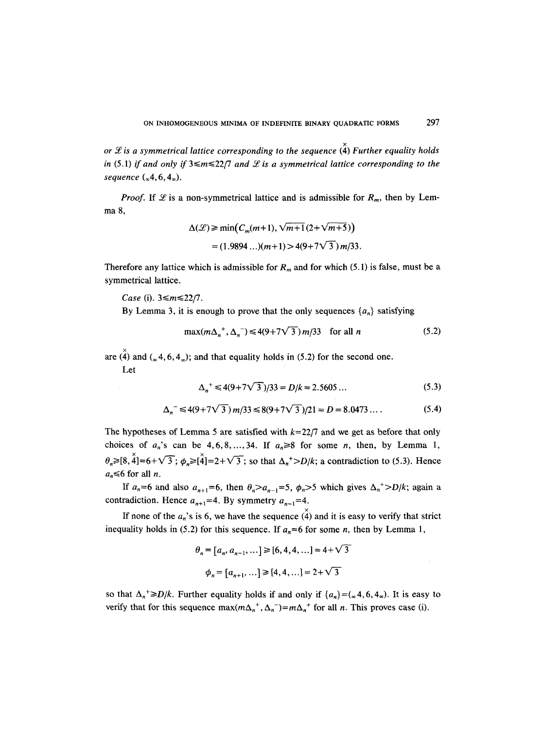*or*  $\mathscr L$  *is a symmetrical lattice corresponding to the sequence*  $\overset{\times}{(4)}$  *Further equality holds in* (5.1) *if and only if*  $3 \le m \le 22/7$  *and*  $L$  *is a symmetrical lattice corresponding to the sequence*  $({}_{\infty}4, 6, 4_{\infty})$ .

*Proof.* If  $\mathscr L$  is a non-symmetrical lattice and is admissible for  $R_m$ , then by Lemma 8,

$$
\Delta(\mathcal{L}) \ge \min(C_m(m+1), \sqrt{m+1}(2+\sqrt{m+5}))
$$
  
= (1.9894...) (m+1) > 4(9+7 $\sqrt{3}$ ) m/33.

Therefore any lattice which is admissible for  $R_m$  and for which (5.1) is false, must be a symmetrical lattice.

*Case* (i). 3≤*m*≤22/7.

By Lemma 3, it is enough to prove that the only sequences  $\{a_n\}$  satisfying

$$
\max(m\Delta_n^+, \Delta_n^-) \le 4(9 + 7\sqrt{3}) m/33 \quad \text{for all } n \tag{5.2}
$$

are  $\lambda$  and  $\lambda$  ( $\alpha$  4, 6, 4 $\alpha$ ); and that equality holds in (5.2) for the second one.

Let

$$
\Delta_n^+ \leq 4(9 + 7\sqrt{3})/33 = D/k = 2.5605 \dots \tag{5.3}
$$

$$
\Delta_n^- \le 4(9+7\sqrt{3}) m/33 \le 8(9+7\sqrt{3})/21 = D = 8.0473 \dots \tag{5.4}
$$

The hypotheses of Lemma 5 are satisfied with  $k=22/7$  and we get as before that only choices of  $a_n$ 's can be 4,6,8,...,34. If  $a_n \ge 8$  for some n, then, by Lemma 1,  $\theta_n \geq 8, \tilde{4} = 6 + \sqrt{3}$ ;  $\phi_n \geq 4 = 2 + \sqrt{3}$ ; so that  $\Delta_n^+ > D/k$ ; a contradiction to (5.3). Hence  $a_n \leq 6$  for all *n*.

If  $a_n=6$  and also  $a_{n+1}=6$ , then  $\theta_n>a_{n-1}=5$ ,  $\phi_n>5$  which gives  $\Delta_n^+>D/k$ ; again a contradiction. Hence  $a_{n+1} = 4$ . By symmetry  $a_{n-1} = 4$ .

If none of the  $a_n$ 's is 6, we have the sequence  $(\hat{4})$  and it is easy to verify that strict inequality holds in (5.2) for this sequence. If  $a_n=6$  for some *n*, then by Lemma 1,

$$
\theta_n = [a_n, a_{n-1}, \dots] \ge [6, 4, 4, \dots] = 4 + \sqrt{3}
$$

$$
\phi_n = [a_{n+1}, \dots] \ge [4, 4, \dots] = 2 + \sqrt{3}
$$

so that  $\Delta_n^+ \geq D/k$ . Further equality holds if and only if  $\{a_n\} = (\infty, 4, 6, 4_\infty)$ . It is easy to verify that for this sequence  $\max(m\Delta_n^+, \Delta_n^-) = m\Delta_n^+$  for all *n*. This proves case (i).